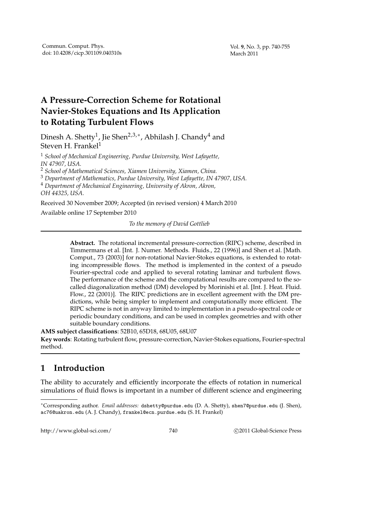# **A Pressure-Correction Scheme for Rotational Navier-Stokes Equations and Its Application to Rotating Turbulent Flows**

Dinesh A. Shetty $^1$ , Jie Shen $^{2,3,*}$ , Abhilash J. Chandy $^4$  and Steven H. Frankel $1$ 

<sup>1</sup> *School of Mechanical Engineering, Purdue University, West Lafayette, IN 47907, USA.*

<sup>2</sup> *School of Mathematical Sciences, Xiamen University, Xiamen, China.*

<sup>3</sup> *Department of Mathematics, Purdue University, West Lafayette, IN 47907, USA.*

<sup>4</sup> *Department of Mechanical Engineering, University of Akron, Akron,*

*OH 44325, USA.*

Received 30 November 2009; Accepted (in revised version) 4 March 2010

Available online 17 September 2010

*To the memory of David Gottlieb*

**Abstract.** The rotational incremental pressure-correction (RIPC) scheme, described in Timmermans et al. [Int. J. Numer. Methods. Fluids., 22 (1996)] and Shen et al. [Math. Comput., 73 (2003)] for non-rotational Navier-Stokes equations, is extended to rotating incompressible flows. The method is implemented in the context of a pseudo Fourier-spectral code and applied to several rotating laminar and turbulent flows. The performance of the scheme and the computational results are compared to the socalled diagonalization method (DM) developed by Morinishi et al. [Int. J. Heat. Fluid. Flow., 22 (2001)]. The RIPC predictions are in excellent agreement with the DM predictions, while being simpler to implement and computationally more efficient. The RIPC scheme is not in anyway limited to implementation in a pseudo-spectral code or periodic boundary conditions, and can be used in complex geometries and with other suitable boundary conditions.

**AMS subject classifications**: 52B10, 65D18, 68U05, 68U07

**Key words**: Rotating turbulent flow, pressure-correction, Navier-Stokes equations, Fourier-spectral method.

## **1 Introduction**

The ability to accurately and efficiently incorporate the effects of rotation in numerical simulations of fluid flows is important in a number of different science and engineering

http://www.global-sci.com/ 740 c 2011 Global-Science Press

<sup>∗</sup>Corresponding author. *Email addresses:* dshetty@purdue.edu (D. A. Shetty), shen7@purdue.edu (J. Shen), ac76@uakron.edu (A. J. Chandy), frankel@ecn.purdue.edu (S. H. Frankel)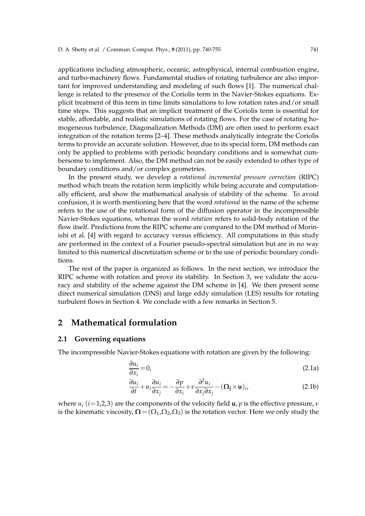applications including atmospheric, oceanic, astrophysical, internal combustion engine, and turbo-machinery flows. Fundamental studies of rotating turbulence are also important for improved understanding and modeling of such flows [1]. The numerical challenge is related to the presence of the Coriolis term in the Navier-Stokes equations. Explicit treatment of this term in time limits simulations to low rotation rates and/or small time steps. This suggests that an implicit treatment of the Coriolis term is essential for stable, affordable, and realistic simulations of rotating flows. For the case of rotating homogeneous turbulence, Diagonalization Methods (DM) are often used to perform exact integration of the rotation terms [2–4]. These methods analytically integrate the Coriolis terms to provide an accurate solution. However, due to its special form, DM methods can only be applied to problems with periodic boundary conditions and is somewhat cumbersome to implement. Also, the DM method can not be easily extended to other type of boundary conditions and/or complex geometries.

In the present study, we develop a *rotational incremental pressure correction* (RIPC) method which treats the rotation term implicitly while being accurate and computationally efficient, and show the mathematical analysis of stability of the scheme. To avoid confusion, it is worth mentioning here that the word *rotational* in the name of the scheme refers to the use of the rotational form of the diffusion operator in the incompressible Navier-Stokes equations, whereas the word *rotation* refers to solid-body rotation of the flow itself. Predictions from the RIPC scheme are compared to the DM method of Morinishi et al. [4] with regard to accuracy versus efficiency. All computations in this study are performed in the context of a Fourier pseudo-spectral simulation but are in no way limited to this numerical discretization scheme or to the use of periodic boundary conditions.

The rest of the paper is organized as follows. In the next section, we introduce the RIPC scheme with rotation and prove its stability. In Section 3, we validate the accuracy and stability of the scheme against the DM scheme in [4]. We then present some direct numerical simulation (DNS) and large eddy simulation (LES) results for rotating turbulent flows in Section 4. We conclude with a few remarks in Section 5.

### **2 Mathematical formulation**

#### **2.1 Governing equations**

The incompressible Navier-Stokes equations with rotation are given by the following:

$$
\frac{\partial u_i}{\partial x_i} = 0,\tag{2.1a}
$$

$$
\frac{\partial u_i}{\partial t} + u_j \frac{\partial u_i}{\partial x_j} = -\frac{\partial p}{\partial x_i} + v \frac{\partial^2 u_i}{\partial x_j \partial x_j} - (\mathbf{\Omega}_j \times \mathbf{u})_i, \tag{2.1b}
$$

where  $u_i$  ( $i=1,2,3$ ) are the components of the velocity field **u**, *p* is the effective pressure, *ν* is the kinematic viscosity,  $\Omega = (\Omega_1, \Omega_2, \Omega_3)$  is the rotation vector. Here we only study the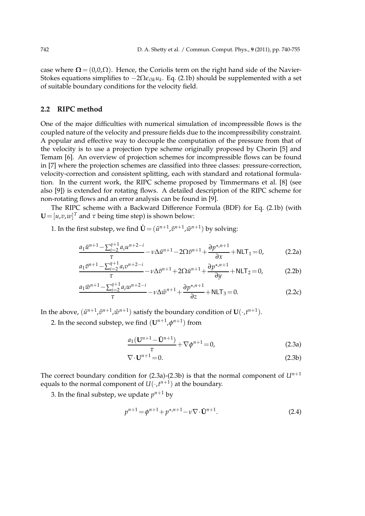case where  $\Omega = (0,0,\Omega)$ . Hence, the Coriolis term on the right hand side of the Navier-Stokes equations simplifies to −2Ω*ǫi*3*ku<sup>k</sup>* . Eq. (2.1b) should be supplemented with a set of suitable boundary conditions for the velocity field.

#### **2.2 RIPC method**

One of the major difficulties with numerical simulation of incompressible flows is the coupled nature of the velocity and pressure fields due to the incompressibility constraint. A popular and effective way to decouple the computation of the pressure from that of the velocity is to use a projection type scheme originally proposed by Chorin [5] and Temam [6]. An overview of projection schemes for incompressible flows can be found in [7] where the projection schemes are classified into three classes: pressure-correction, velocity-correction and consistent splitting, each with standard and rotational formulation. In the current work, the RIPC scheme proposed by Timmermans et al. [8] (see also [9]) is extended for rotating flows. A detailed description of the RIPC scheme for non-rotating flows and an error analysis can be found in [9].

The RIPC scheme with a Backward Difference Formula (BDF) for Eq. (2.1b) (with  $\mathbf{U} = [u, v, w]^T$  and  $\tau$  being time step) is shown below:

1. In the first substep, we find  $\tilde{\mathbf{U}} = (\tilde{u}^{n+1}, \tilde{v}^{n+1}, \tilde{w}^{n+1})$  by solving:

$$
\frac{a_1\tilde{u}^{n+1} - \sum_{i=2}^{q+1} a_i u^{n+2-i}}{\tau} - \nu \Delta \tilde{u}^{n+1} - 2\Omega \tilde{v}^{n+1} + \frac{\partial p^{\star,n+1}}{\partial x} + \text{NLT}_1 = 0,
$$
 (2.2a)

$$
\frac{a_1\tilde{v}^{n+1} - \sum_{i=2}^{q+1} a_i v^{n+2-i}}{\tau} - \nu \Delta \tilde{v}^{n+1} + 2\Omega \tilde{u}^{n+1} + \frac{\partial p^{\star,n+1}}{\partial y} + \text{NLT}_2 = 0,
$$
 (2.2b)

$$
\frac{a_1\tilde{w}^{n+1} - \sum_{i=2}^{q+1}a_i\omega^{n+2-i}}{\tau} - \nu\Delta\tilde{w}^{n+1} + \frac{\partial p^{\star,n+1}}{\partial z} + \text{NLT}_3 = 0.
$$
 (2.2c)

In the above,  $(\tilde{u}^{n+1}, \tilde{v}^{n+1}, \tilde{w}^{n+1})$  satisfy the boundary condition of  $\mathbf{U}(\cdot, t^{n+1})$ .

2. In the second substep, we find  $(\mathbf{U}^{n+1}, \phi^{n+1})$  from

$$
\frac{a_1(\mathbf{U}^{n+1} - \tilde{\mathbf{U}}^{n+1})}{\tau} + \nabla \phi^{n+1} = 0,
$$
\n(2.3a)

$$
\nabla \cdot \mathbf{U}^{n+1} = 0. \tag{2.3b}
$$

The correct boundary condition for  $(2.3a)-(2.3b)$  is that the normal component of  $U^{n+1}$ equals to the normal component of  $U(\cdot, t^{n+1})$  at the boundary.

3. In the final substep*,* we update  $p^{n+1}$  by

$$
p^{n+1} = \phi^{n+1} + p^{\star,n+1} - \nu \nabla \cdot \tilde{\mathbf{U}}^{n+1}.
$$
 (2.4)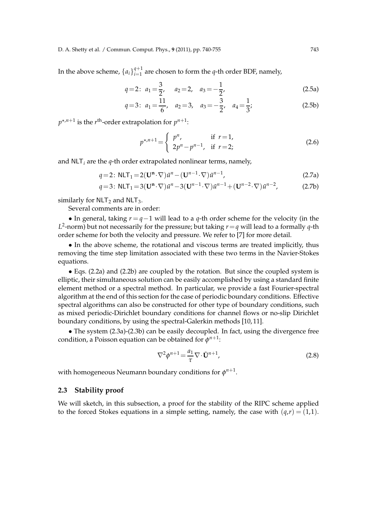In the above scheme,  $\{a_i\}_{i=1}^{q+1}$  $q_{i=1}^{q+1}$  are chosen to form the *q*-th order BDF, namely,

$$
q=2: a_1=\frac{3}{2}, a_2=2, a_3=-\frac{1}{2},
$$
 (2.5a)

$$
q=3: a_1=\frac{11}{6}, a_2=3, a_3=-\frac{3}{2}, a_4=\frac{1}{3};
$$
 (2.5b)

 $p^{*,n+1}$  is the  $r^{\text{th}}$ -order extrapolation for  $p^{n+1}$ :

$$
p^{*,n+1} = \begin{cases} p^n, & \text{if } r = 1, \\ 2p^n - p^{n-1}, & \text{if } r = 2; \end{cases}
$$
 (2.6)

and NLT*<sup>i</sup>* are the *q*-th order extrapolated nonlinear terms, namely,

$$
q=2: \text{NLT}_1 = 2(\mathbf{U}^{\mathbf{n}} \cdot \nabla) \tilde{u}^n - (\mathbf{U}^{n-1} \cdot \nabla) \tilde{u}^{n-1}, \qquad (2.7a)
$$

$$
q=3: \text{NLT}_1 = 3(\mathbf{U}^{\mathbf{n}} \cdot \nabla) \tilde{u}^n - 3(\mathbf{U}^{n-1} \cdot \nabla) \tilde{u}^{n-1} + (\mathbf{U}^{n-2} \cdot \nabla) \tilde{u}^{n-2}, \tag{2.7b}
$$

similarly for  $NLT_2$  and  $NLT_3$ .

Several comments are in order:

• In general, taking *r* = *q*−1 will lead to a *q*-th order scheme for the velocity (in the  $L^2$ -norm) but not necessarily for the pressure; but taking  $r = q$  will lead to a formally  $q$ -th order scheme for both the velocity and pressure. We refer to [7] for more detail.

• In the above scheme, the rotational and viscous terms are treated implicitly, thus removing the time step limitation associated with these two terms in the Navier-Stokes equations.

• Eqs. (2.2a) and (2.2b) are coupled by the rotation. But since the coupled system is elliptic, their simultaneous solution can be easily accomplished by using a standard finite element method or a spectral method. In particular, we provide a fast Fourier-spectral algorithm at the end of this section for the case of periodic boundary conditions. Effective spectral algorithms can also be constructed for other type of boundary conditions, such as mixed periodic-Dirichlet boundary conditions for channel flows or no-slip Dirichlet boundary conditions, by using the spectral-Galerkin methods [10, 11].

• The system (2.3a)-(2.3b) can be easily decoupled. In fact, using the divergence free condition, a Poisson equation can be obtained for  $\phi^{n+1}$ :

$$
\nabla^2 \phi^{n+1} = \frac{a_1}{\tau} \nabla \cdot \tilde{\mathbf{U}}^{n+1},\tag{2.8}
$$

with homogeneous Neumann boundary conditions for  $\phi^{n+1}.$ 

#### **2.3 Stability proof**

We will sketch, in this subsection, a proof for the stability of the RIPC scheme applied to the forced Stokes equations in a simple setting, namely, the case with  $(q,r) = (1,1)$ .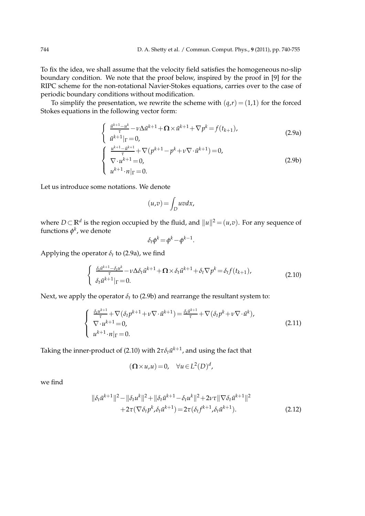To fix the idea, we shall assume that the velocity field satisfies the homogeneous no-slip boundary condition. We note that the proof below, inspired by the proof in [9] for the RIPC scheme for the non-rotational Navier-Stokes equations, carries over to the case of periodic boundary conditions without modification.

To simplify the presentation, we rewrite the scheme with  $(q,r)=(1,1)$  for the forced Stokes equations in the following vector form:

$$
\begin{cases}\n\frac{\tilde{u}^{k+1} - u^k}{\tau} - \nu \Delta \tilde{u}^{k+1} + \Omega \times \tilde{u}^{k+1} + \nabla p^k = f(t_{k+1}), \\
\tilde{u}^{k+1}|_{\Gamma} = 0, \\
\frac{u^{k+1} - \tilde{u}^{k+1}}{\tau} + \nabla (p^{k+1} - p^k + \nu \nabla \cdot \tilde{u}^{k+1}) = 0, \\
\nabla \cdot u^{k+1} = 0, \\
u^{k+1} \cdot n|_{\Gamma} = 0.\n\end{cases}
$$
\n(2.9b)

Let us introduce some notations. We denote

$$
(u,v) = \int_D uv dx,
$$

where *D* ⊂  $\mathbb{R}^d$  is the region occupied by the fluid, and  $||u||^2 = (u,v)$ . For any sequence of functions  $\phi^k$ , we denote

$$
\delta_t \phi^k = \phi^k - \phi^{k-1}.
$$

Applying the operator  $\delta_t$  to (2.9a), we find

$$
\begin{cases} \frac{\delta_t \tilde{u}^{k+1} - \delta_t u^k}{\tau} - \nu \Delta \delta_t \tilde{u}^{k+1} + \Omega \times \delta_t \tilde{u}^{k+1} + \delta_t \nabla p^k = \delta_t f(t_{k+1}), \\ \delta_t \tilde{u}^{k+1} |_{\Gamma} = 0. \end{cases}
$$
(2.10)

Next, we apply the operator  $\delta_t$  to (2.9b) and rearrange the resultant system to:

$$
\begin{cases} \frac{\delta_t u^{k+1}}{\tau} + \nabla (\delta_t p^{k+1} + \nu \nabla \cdot \tilde{u}^{k+1}) = \frac{\delta_t \tilde{u}^{k+1}}{\tau} + \nabla (\delta_t p^k + \nu \nabla \cdot \tilde{u}^k), \\ \nabla \cdot u^{k+1} = 0, \\ u^{k+1} \cdot n|_{\Gamma} = 0. \end{cases} \tag{2.11}
$$

Taking the inner-product of (2.10) with  $2\tau\delta_t\tilde{u}^{k+1}$ , and using the fact that

$$
(\mathbf{\Omega} \times u, u) = 0, \quad \forall u \in L^2(D)^d,
$$

we find

$$
\|\delta_t \tilde{u}^{k+1}\|^2 - \|\delta_t u^k\|^2 + \|\delta_t \tilde{u}^{k+1} - \delta_t u^k\|^2 + 2\nu\tau \|\nabla \delta_t \tilde{u}^{k+1}\|^2 + 2\tau (\nabla \delta_t p^k, \delta_t \tilde{u}^{k+1}) = 2\tau (\delta_t f^{k+1}, \delta_t \tilde{u}^{k+1}).
$$
\n(2.12)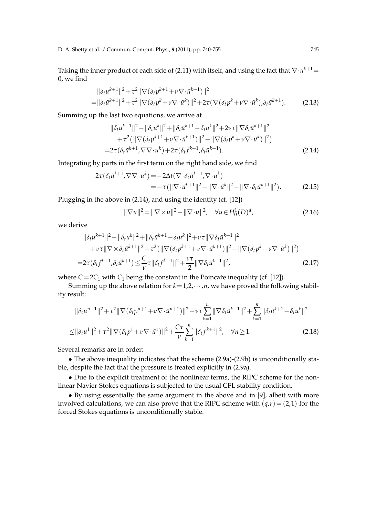D. A. Shetty et al. / Commun. Comput. Phys., **9** (2011), pp. 740-755 745

Taking the inner product of each side of (2.11) with itself, and using the fact that  $\nabla\cdot u^{k+1}$   $=$ 0, we find

$$
\|\delta_t u^{k+1}\|^2 + \tau^2 \|\nabla (\delta_t p^{k+1} + v \nabla \cdot \tilde{u}^{k+1})\|^2
$$
  
=\|\delta\_t \tilde{u}^{k+1}\|^2 + \tau^2 \|\nabla (\delta\_t p^k + v \nabla \cdot \tilde{u}^k)\|^2 + 2\tau (\nabla (\delta\_t p^k + v \nabla \cdot \tilde{u}^k), \delta\_t \tilde{u}^{k+1}). (2.13)

Summing up the last two equations, we arrive at

$$
\|\delta_t u^{k+1}\|^2 - \|\delta_t u^k\|^2 + \|\delta_t \tilde{u}^{k+1} - \delta_t u^k\|^2 + 2\nu\tau \|\nabla \delta_t \tilde{u}^{k+1}\|^2 + \tau^2 (\|\nabla (\delta_t p^{k+1} + \nu \nabla \cdot \tilde{u}^{k+1})\|^2 - \|\nabla (\delta_t p^k + \nu \nabla \cdot \tilde{u}^k)\|^2) = 2\tau (\delta_t \tilde{u}^{k+1}, \nabla \nabla \cdot u^k) + 2\tau (\delta_t f^{k+1}, \delta_t \tilde{u}^{k+1}).
$$
\n(2.14)

Integrating by parts in the first term on the right hand side, we find

$$
2\tau(\delta_t \tilde{u}^{k+1}, \nabla \nabla \cdot u^k) = -2\Delta t(\nabla \cdot \delta_t \tilde{u}^{k+1}, \nabla \cdot u^k) = -\tau(||\nabla \cdot \tilde{u}^{k+1}||^2 - \|\nabla \cdot \tilde{u}^k\|^2 - \|\nabla \cdot \delta_t \tilde{u}^{k+1}\|^2).
$$
 (2.15)

Plugging in the above in (2.14), and using the identity (cf. [12])

$$
\|\nabla u\|^2 = \|\nabla \times u\|^2 + \|\nabla \cdot u\|^2, \quad \forall u \in H_0^1(D)^d,
$$
\n(2.16)

we derive

$$
\|\delta_t u^{k+1}\|^2 - \|\delta_t u^k\|^2 + \|\delta_t \tilde{u}^{k+1} - \delta_t u^k\|^2 + \nu \tau \|\nabla \delta_t \tilde{u}^{k+1}\|^2 + \nu \tau \|\nabla \times \delta_t \tilde{u}^{k+1}\|^2 + \tau^2 \left( \|\nabla (\delta_t p^{k+1} + \nu \nabla \cdot \tilde{u}^{k+1})\|^2 - \|\nabla (\delta_t p^k + \nu \nabla \cdot \tilde{u}^k)\|^2 \right) = 2\tau (\delta_t f^{k+1}, \delta_t \tilde{u}^{k+1}) \leq \frac{C}{\nu} \tau \|\delta_t f^{k+1}\|^2 + \frac{\nu \tau}{2} \|\nabla \delta_t \tilde{u}^{k+1}\|^2, \tag{2.17}
$$

where  $C=2C_1$  with  $C_1$  being the constant in the Poincare inequality (cf. [12]).

Summing up the above relation for  $k=1,2,\cdots,n$ , we have proved the following stability result:

$$
\|\delta_t u^{n+1}\|^2 + \tau^2 \|\nabla (\delta_t p^{n+1} + v \nabla \cdot \tilde{u}^{n+1})\|^2 + v \tau \sum_{k=1}^n \|\nabla \delta_t \tilde{u}^{k+1}\|^2 + \sum_{k=1}^n \|\delta_t \tilde{u}^{k+1} - \delta_t u^k\|^2
$$
  

$$
\leq \|\delta_t u^1\|^2 + \tau^2 \|\nabla (\delta_t p^1 + v \nabla \cdot \tilde{u}^1)\|^2 + \frac{C\tau}{\nu} \sum_{k=1}^n \|\delta_t f^{k+1}\|^2, \quad \forall n \geq 1.
$$
 (2.18)

Several remarks are in order:

• The above inequality indicates that the scheme (2.9a)-(2.9b) is unconditionally stable, despite the fact that the pressure is treated explicitly in (2.9a).

• Due to the explicit treatment of the nonlinear terms, the RIPC scheme for the nonlinear Navier-Stokes equations is subjected to the usual CFL stability condition.

• By using essentially the same argument in the above and in [9], albeit with more involved calculations, we can also prove that the RIPC scheme with  $(q, r) = (2, 1)$  for the forced Stokes equations is unconditionally stable.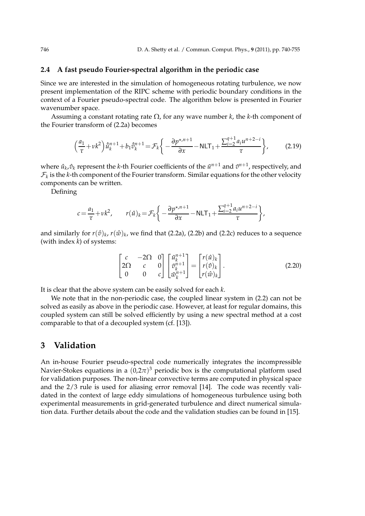#### **2.4 A fast pseudo Fourier-spectral algorithm in the periodic case**

Since we are interested in the simulation of homogeneous rotating turbulence, we now present implementation of the RIPC scheme with periodic boundary conditions in the context of a Fourier pseudo-spectral code. The algorithm below is presented in Fourier wavenumber space.

Assuming a constant rotating rate Ω, for any wave number *k*, the *k*-th component of the Fourier transform of (2.2a) becomes

$$
\left(\frac{a_1}{\tau} + \nu k^2\right) \hat{u}_k^{n+1} + b_1 \hat{\tilde{v}}_k^{n+1} = \mathcal{F}_k \left\{ -\frac{\partial p^{\star,n+1}}{\partial x} - \text{NLT}_1 + \frac{\sum_{i=2}^{q+1} a_i u^{n+2-i}}{\tau} \right\},\tag{2.19}
$$

where  $\hat{u}_k, \hat{v}_k$  represent the *k*-th Fourier coefficients of the  $\tilde{u}^{n+1}$  and  $\tilde{v}^{n+1}$ , respectively, and  $\mathcal{F}_k$  is the *k*-th component of the Fourier transform. Similar equations for the other velocity components can be written.

Defining

$$
c = \frac{a_1}{\tau} + \nu k^2, \qquad r(\hat{u})_k = \mathcal{F}_k \bigg\{ -\frac{\partial p^{\star,n+1}}{\partial x} - \text{NLT}_1 + \frac{\sum_{i=2}^{q+1} a_i u^{n+2-i}}{\tau} \bigg\},
$$

and similarly for  $r(\hat{v})_k$ ,  $r(\hat{w})_k$ , we find that (2.2a), (2.2b) and (2.2c) reduces to a sequence (with index *k*) of systems:

$$
\begin{bmatrix} c & -2\Omega & 0 \\ 2\Omega & c & 0 \\ 0 & 0 & c \end{bmatrix} \begin{bmatrix} \tilde{u}_k^{n+1} \\ \tilde{v}_k^{n+1} \\ \tilde{w}_k^{n+1} \end{bmatrix} = \begin{bmatrix} r(\hat{u})_k \\ r(\hat{v})_k \\ r(\hat{w})_k \end{bmatrix}.
$$
 (2.20)

It is clear that the above system can be easily solved for each *k*.

We note that in the non-periodic case, the coupled linear system in (2.2) can not be solved as easily as above in the periodic case. However, at least for regular domains, this coupled system can still be solved efficiently by using a new spectral method at a cost comparable to that of a decoupled system (cf. [13]).

### **3 Validation**

An in-house Fourier pseudo-spectral code numerically integrates the incompressible Navier-Stokes equations in a  $(0,2\pi)^3$  periodic box is the computational platform used for validation purposes. The non-linear convective terms are computed in physical space and the 2/3 rule is used for aliasing error removal [14]. The code was recently validated in the context of large eddy simulations of homogeneous turbulence using both experimental measurements in grid-generated turbulence and direct numerical simulation data. Further details about the code and the validation studies can be found in [15].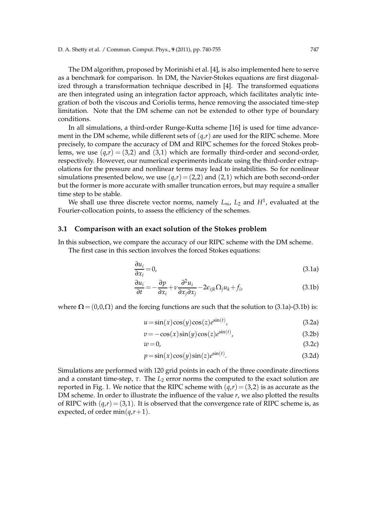The DM algorithm, proposed by Morinishi et al. [4], is also implemented here to serve as a benchmark for comparison. In DM, the Navier-Stokes equations are first diagonalized through a transformation technique described in [4]. The transformed equations are then integrated using an integration factor approach, which facilitates analytic integration of both the viscous and Coriolis terms, hence removing the associated time-step limitation. Note that the DM scheme can not be extended to other type of boundary conditions.

In all simulations, a third-order Runge-Kutta scheme [16] is used for time advancement in the DM scheme, while different sets of  $(q,r)$  are used for the RIPC scheme. More precisely, to compare the accuracy of DM and RIPC schemes for the forced Stokes problems, we use  $(q,r) = (3,2)$  and  $(3,1)$  which are formally third-order and second-order, respectively. However, our numerical experiments indicate using the third-order extrapolations for the pressure and nonlinear terms may lead to instabilities. So for nonlinear simulations presented below, we use  $(q, r) = (2, 2)$  and  $(2, 1)$  which are both second-order but the former is more accurate with smaller truncation errors, but may require a smaller time step to be stable.

We shall use three discrete vector norms, namely *L*∞, *L*<sup>2</sup> and *H*<sup>1</sup> , evaluated at the Fourier-collocation points, to assess the efficiency of the schemes.

#### **3.1 Comparison with an exact solution of the Stokes problem**

In this subsection, we compare the accuracy of our RIPC scheme with the DM scheme.

The first case in this section involves the forced Stokes equations:

$$
\frac{\partial u_i}{\partial x_i} = 0,\tag{3.1a}
$$

$$
\frac{\partial u_i}{\partial t} = -\frac{\partial p}{\partial x_i} + v \frac{\partial^2 u_i}{\partial x_j \partial x_j} - 2\epsilon_{ijk} \Omega_j u_k + f_i,
$$
\n(3.1b)

where  $\Omega = (0,0,\Omega)$  and the forcing functions are such that the solution to (3.1a)-(3.1b) is:

$$
u = \sin(x)\cos(y)\cos(z)e^{\sin(t)},
$$
\n(3.2a)

$$
v = -\cos(x)\sin(y)\cos(z)e^{\sin(t)},
$$
\n(3.2b)

$$
w = 0,\t\t(3.2c)
$$

$$
p = \sin(x)\cos(y)\sin(z)e^{\sin(t)}.
$$
 (3.2d)

Simulations are performed with 120 grid points in each of the three coordinate directions and a constant time-step,  $\tau$ . The  $L_2$  error norms the computed to the exact solution are reported in Fig. 1. We notice that the RIPC scheme with  $(q,r)=(3,2)$  is as accurate as the DM scheme. In order to illustrate the influence of the value *r*, we also plotted the results of RIPC with  $(q,r) = (3,1)$ . It is observed that the convergence rate of RIPC scheme is, as expected, of order  $min(q, r+1)$ .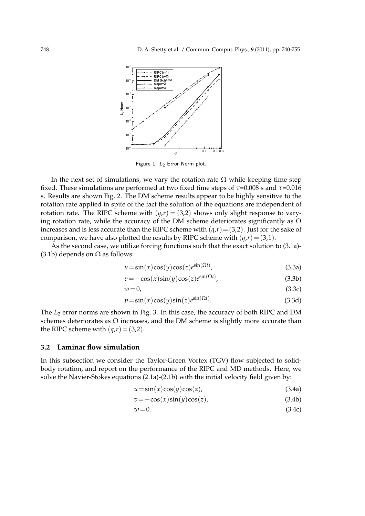

Figure 1: L<sub>2</sub> Error Norm plot.

In the next set of simulations, we vary the rotation rate  $\Omega$  while keeping time step fixed. These simulations are performed at two fixed time steps of *τ*=0.008 s and *τ*=0.016 s. Results are shown Fig. 2. The DM scheme results appear to be highly sensitive to the rotation rate applied in spite of the fact the solution of the equations are independent of rotation rate. The RIPC scheme with  $(q,r) = (3,2)$  shows only slight response to varying rotation rate, while the accuracy of the DM scheme deteriorates significantly as  $\Omega$ increases and is less accurate than the RIPC scheme with  $(q, r) = (3, 2)$ . Just for the sake of comparison, we have also plotted the results by RIPC scheme with  $(q, r) = (3, 1)$ .

As the second case, we utilize forcing functions such that the exact solution to (3.1a)- (3.1b) depends on  $\Omega$  as follows:

$$
u = \sin(x)\cos(y)\cos(z)e^{\sin(\Omega t)},
$$
\n(3.3a)

$$
v = -\cos(x)\sin(y)\cos(z)e^{\sin(\Omega t)},
$$
\n(3.3b)

$$
w = 0,\tag{3.3c}
$$

$$
p = \sin(x)\cos(y)\sin(z)e^{\sin(\Omega t)}.
$$
 (3.3d)

The *L*<sub>2</sub> error norms are shown in Fig. 3. In this case, the accuracy of both RIPC and DM schemes deteriorates as  $\Omega$  increases, and the DM scheme is slightly more accurate than the RIPC scheme with  $(q, r) = (3, 2)$ .

#### **3.2 Laminar flow simulation**

In this subsection we consider the Taylor-Green Vortex (TGV) flow subjected to solidbody rotation, and report on the performance of the RIPC and MD methods. Here, we solve the Navier-Stokes equations (2.1a)-(2.1b) with the initial velocity field given by:

$$
u = \sin(x)\cos(y)\cos(z),\tag{3.4a}
$$

$$
v = -\cos(x)\sin(y)\cos(z),\tag{3.4b}
$$

$$
w = 0.\t\t(3.4c)
$$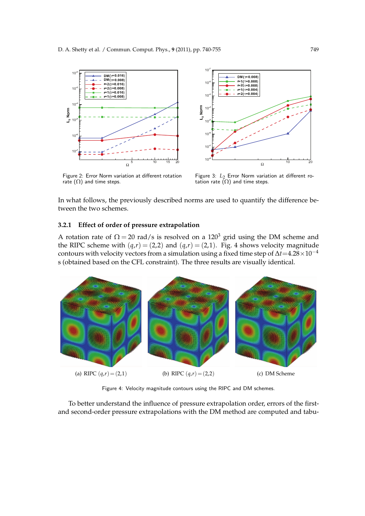

Figure 2: Error Norm variation at different rotation rate  $(Ω)$  and time steps.



Ω

10 <sup>2</sup><br>
10 <sup>2</sup><br>
10 <sup>2</sup><br>
10 <sup>2</sup><br>
10<sup>3</sup><br>
10<sup>°</sup><sub>5</sub><br>
10<sup>°</sup><sub>5</sub><br>
10<sup>°</sup><sub>5</sub><br>
10<sup>°</sup><sub>5</sub><br>
10<sup>°</sup><sub>5</sub><br>
10<sup>°</sup><sub>5</sub><br>
10<sup>°</sup><sub>5</sub><br>
10<sup>°</sup><sub>5</sub><br>
10<sup>°</sup><sub>5</sub>

 $r=2(7=0.008)$  $r=1$ (τ=0.004 r= 2 (τ=0.004 )

In what follows, the previously described norms are used to quantify the difference between the two schemes.

 $L_2$  Norm  $10$ 

#### **3.2.1 Effect of order of pressure extrapolation**

A rotation rate of  $\Omega = 20$  rad/s is resolved on a 120<sup>3</sup> grid using the DM scheme and the RIPC scheme with  $(q,r) = (2,2)$  and  $(q,r) = (2,1)$ . Fig. 4 shows velocity magnitude contours with velocity vectors from a simulation using a fixed time step of  $\Delta t = 4.28 \times 10^{-4}$ s (obtained based on the CFL constraint). The three results are visually identical.



Figure 4: Velocity magnitude contours using the RIPC and DM schemes.

To better understand the influence of pressure extrapolation order, errors of the firstand second-order pressure extrapolations with the DM method are computed and tabu-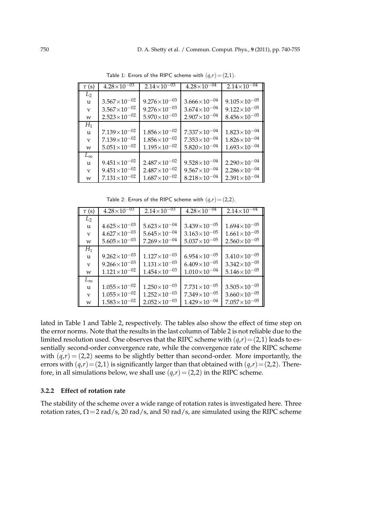| $\tau$ (s)   | $4.28\times10^{-03}$    | $2.14\times10^{-03}$    | $4.28\times10^{-04}$  | $2.14\times10^{-04}$  |
|--------------|-------------------------|-------------------------|-----------------------|-----------------------|
| $L_2$        |                         |                         |                       |                       |
| u            | $3.567\times10^{-02}$   | $9.276 \times 10^{-03}$ | $3.666\times10^{-04}$ | $9.105\times10^{-05}$ |
| $\mathbf{V}$ | $3.567\times10^{-02}$   | $9.276 \times 10^{-03}$ | $3.674\times10^{-04}$ | $9.122\times10^{-05}$ |
| w            | $2.523 \times 10^{-02}$ | $5.970\times10^{-03}$   | $2.907\times10^{-04}$ | $8.456\times10^{-05}$ |
| $H_1$        |                         |                         |                       |                       |
| u            | $7.139\times10^{-02}$   | $1.856\times10^{-02}$   | $7.337\times10^{-04}$ | $1.823\times10^{-04}$ |
| V            | $7.139\times10^{-02}$   | $1.856\times10^{-02}$   | $7.353\times10^{-04}$ | $1.826\times10^{-04}$ |
| W            | $5.051\times10^{-02}$   | $1.195\times10^{-02}$   | $5.820\times10^{-04}$ | $1.693\times10^{-04}$ |
| $L_{\infty}$ |                         |                         |                       |                       |
| u            | $9.451\times10^{-02}$   | $2.487\times10^{-02}$   | $9.528\times10^{-04}$ | $2.290\times10^{-04}$ |
| $\mathbf{V}$ | $9.451\times10^{-02}$   | $2.487\times10^{-02}$   | $9.567\times10^{-04}$ | $2.286\times10^{-04}$ |
| w            | $7.131\times10^{-02}$   | $1.687\times10^{-02}$   | $8.218\times10^{-04}$ | $2.391\times10^{-04}$ |

Table 1: Errors of the RIPC scheme with  $(q,r)=(2,1)$ .

Table 2: Errors of the RIPC scheme with  $(q,r)=(2,2)$ .

| $\tau$ (s)   | $4.28 \times 10^{-03}$ | $2.14\times10^{-03}$  | $4.28\times10^{-04}$  | $2.14\times10^{-04}$    |
|--------------|------------------------|-----------------------|-----------------------|-------------------------|
| $L_2$        |                        |                       |                       |                         |
| u            | $4.625\times10^{-03}$  | $5.623\times10^{-04}$ | $3.439\times10^{-05}$ | $1.694\times10^{-05}$   |
| $\mathbf{V}$ | $4.627\times10^{-03}$  | $5.645\times10^{-04}$ | $3.163\times10^{-05}$ | $1.661\times10^{-05}$   |
| w            | $5.605\times10^{-03}$  | $7.269\times10^{-04}$ | $5.037\times10^{-05}$ | $2.560\times10^{-05}$   |
| $H_1$        |                        |                       |                       |                         |
| u            | $9.262\times10^{-03}$  | $1.127\times10^{-03}$ | $6.954\times10^{-05}$ | $3.410\times10^{-05}$   |
| $\mathbf{V}$ | $9.266\times10^{-03}$  | $1.131\times10^{-03}$ | $6.409\times10^{-05}$ | $3.342\times10^{-05}$   |
| W            | $1.121\times10^{-02}$  | $1.454\times10^{-03}$ | $1.010\times10^{-04}$ | $5.146\times10^{-05}$   |
| $L_{\infty}$ |                        |                       |                       |                         |
| u            | $1.055\times10^{-02}$  | $1.250\times10^{-03}$ | $7.731\times10^{-05}$ | $3.505 \times 10^{-05}$ |
| $\mathbf{V}$ | $1.055\times10^{-02}$  | $1.252\times10^{-03}$ | $7.349\times10^{-05}$ | $3.660\times10^{-05}$   |
| W            | $1.583\times10^{-02}$  | $2.052\times10^{-03}$ | $1.429\times10^{-04}$ | $7.057\times10^{-05}$   |

lated in Table 1 and Table 2, respectively. The tables also show the effect of time step on the error norms. Note that the results in the last column of Table 2 is not reliable due to the limited resolution used. One observes that the RIPC scheme with  $(q,r)=(2,1)$  leads to essentially second-order convergence rate, while the convergence rate of the RIPC scheme with  $(q,r) = (2,2)$  seems to be slightly better than second-order. More importantly, the errors with  $(q,r)=(2,1)$  is significantly larger than that obtained with  $(q,r)=(2,2)$ . Therefore, in all simulations below, we shall use  $(q, r) = (2, 2)$  in the RIPC scheme.

#### **3.2.2 Effect of rotation rate**

The stability of the scheme over a wide range of rotation rates is investigated here. Three rotation rates,  $\Omega$  = 2 rad/s, 20 rad/s, and 50 rad/s, are simulated using the RIPC scheme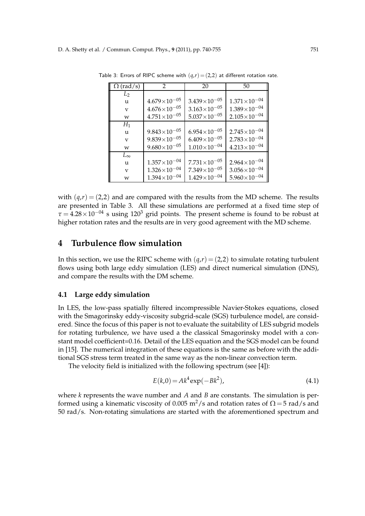| $\Omega$ (rad/s) | $\mathcal{P}$           | 20                    | 50                    |
|------------------|-------------------------|-----------------------|-----------------------|
| $L_2$            |                         |                       |                       |
| u                | $4.679\times10^{-05}$   | $3.439\times10^{-05}$ | $1.371\times10^{-04}$ |
| V                | $4.676\times10^{-05}$   | $3.163\times10^{-05}$ | $1.389\times10^{-04}$ |
| w                | $4.751\times10^{-05}$   | $5.037\times10^{-05}$ | $2.105\times10^{-04}$ |
| $H_1$            |                         |                       |                       |
| u                | $9.843\times10^{-05}$   | $6.954\times10^{-05}$ | $2.745\times10^{-04}$ |
| V                | $9.839 \times 10^{-05}$ | $6.409\times10^{-05}$ | $2.783\times10^{-04}$ |
| w                | $9.680\times10^{-05}$   | $1.010\times10^{-04}$ | $4.213\times10^{-04}$ |
| $L_{\infty}$     |                         |                       |                       |
| u                | $1.357\times10^{-04}$   | $7.731\times10^{-05}$ | $2.964\times10^{-04}$ |
| V                | $1.326\times10^{-04}$   | $7.349\times10^{-05}$ | $3.056\times10^{-04}$ |
| W                | $1.394\times10^{-04}$   | $1.429\times10^{-04}$ | $5.960\times10^{-04}$ |

Table 3: Errors of RIPC scheme with  $(q,r)=(2,2)$  at different rotation rate.

with  $(q,r) = (2,2)$  and are compared with the results from the MD scheme. The results are presented in Table 3. All these simulations are performed at a fixed time step of  $\tau = 4.28 \times 10^{-04}$  s using 120<sup>3</sup> grid points. The present scheme is found to be robust at higher rotation rates and the results are in very good agreement with the MD scheme.

### **4 Turbulence flow simulation**

In this section, we use the RIPC scheme with  $(q, r) = (2, 2)$  to simulate rotating turbulent flows using both large eddy simulation (LES) and direct numerical simulation (DNS), and compare the results with the DM scheme.

#### **4.1 Large eddy simulation**

In LES, the low-pass spatially filtered incompressible Navier-Stokes equations, closed with the Smagorinsky eddy-viscosity subgrid-scale (SGS) turbulence model, are considered. Since the focus of this paper is not to evaluate the suitability of LES subgrid models for rotating turbulence, we have used a the classical Smagorinsky model with a constant model coefficient=0.16. Detail of the LES equation and the SGS model can be found in [15]. The numerical integration of these equations is the same as before with the additional SGS stress term treated in the same way as the non-linear convection term.

The velocity field is initialized with the following spectrum (see [4]):

$$
E(k,0) = Ak^4 \exp(-Bk^2),
$$
\n(4.1)

where *k* represents the wave number and *A* and *B* are constants. The simulation is performed using a kinematic viscosity of 0.005 m<sup>2</sup>/s and rotation rates of  $\Omega = 5$  rad/s and 50 rad/s. Non-rotating simulations are started with the aforementioned spectrum and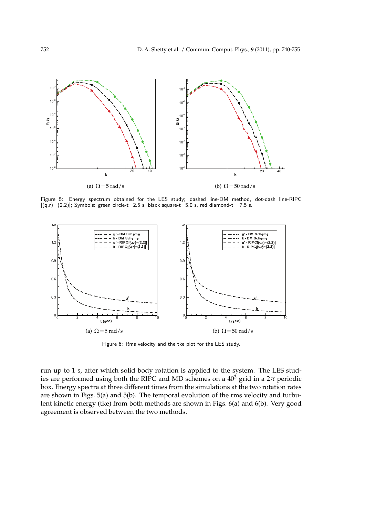

Figure 5: Energy spectrum obtained for the LES study; dashed line-DM method, dot-dash line-RIPC  $[(q,r)=(2,2)]$ ; Symbols: green circle-t=2.5 s, black square-t=5.0 s, red diamond-t= 7.5 s.



Figure 6: Rms velocity and the tke plot for the LES study.

run up to 1 s, after which solid body rotation is applied to the system. The LES studies are performed using both the RIPC and MD schemes on a  $40^3$  grid in a  $2\pi$  periodic box. Energy spectra at three different times from the simulations at the two rotation rates are shown in Figs. 5(a) and 5(b). The temporal evolution of the rms velocity and turbulent kinetic energy (tke) from both methods are shown in Figs. 6(a) and 6(b). Very good agreement is observed between the two methods.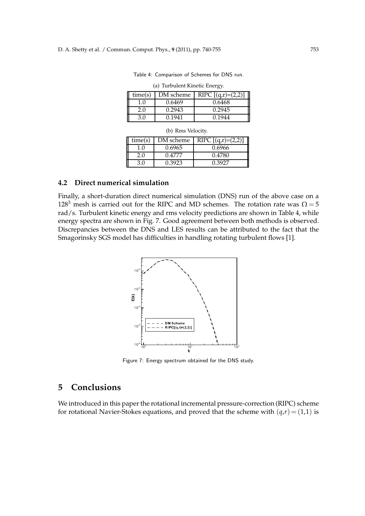Table 4: Comparison of Schemes for DNS run.

| time(s)     | DM scheme | RIPC $[(q,r)=(2,2)]$ |
|-------------|-----------|----------------------|
| 1. $\Omega$ | 0.6469    | 0.6468               |
| 2.0         | 0.2943    | 0.2945               |
| 3.0         | 0.1941    | 0.1944               |

(a) Turbulent Kinetic Energy.

| (b) Rms Velocity. |  |  |
|-------------------|--|--|
|-------------------|--|--|

| time(s)  | DM scheme | RIPC $[(q,r)=(2,2)]$ |
|----------|-----------|----------------------|
| $\Omega$ | 0.6965    | 0.6966               |
| 2.0      | ገ 4777    | 0.4780               |
| 3 O      | 3923 ن    | በ 3027               |

#### **4.2 Direct numerical simulation**

Finally, a short-duration direct numerical simulation (DNS) run of the above case on a 128<sup>3</sup> mesh is carried out for the RIPC and MD schemes. The rotation rate was  $\Omega = 5$ rad/s. Turbulent kinetic energy and rms velocity predictions are shown in Table 4, while energy spectra are shown in Fig. 7. Good agreement between both methods is observed. Discrepancies between the DNS and LES results can be attributed to the fact that the Smagorinsky SGS model has difficulties in handling rotating turbulent flows [1].



Figure 7: Energy spectrum obtained for the DNS study.

## **5 Conclusions**

We introduced in this paper the rotational incremental pressure-correction (RIPC) scheme for rotational Navier-Stokes equations, and proved that the scheme with  $(q, r) = (1, 1)$  is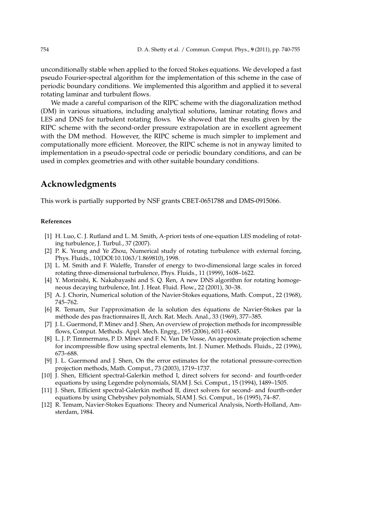unconditionally stable when applied to the forced Stokes equations. We developed a fast pseudo Fourier-spectral algorithm for the implementation of this scheme in the case of periodic boundary conditions. We implemented this algorithm and applied it to several rotating laminar and turbulent flows.

We made a careful comparison of the RIPC scheme with the diagonalization method (DM) in various situations, including analytical solutions, laminar rotating flows and LES and DNS for turbulent rotating flows. We showed that the results given by the RIPC scheme with the second-order pressure extrapolation are in excellent agreement with the DM method. However, the RIPC scheme is much simpler to implement and computationally more efficient. Moreover, the RIPC scheme is not in anyway limited to implementation in a pseudo-spectral code or periodic boundary conditions, and can be used in complex geometries and with other suitable boundary conditions.

### **Acknowledgments**

This work is partially supported by NSF grants CBET-0651788 and DMS-0915066.

#### **References**

- [1] H. Luo, C. J. Rutland and L. M. Smith, A-priori tests of one-equation LES modeling of rotating turbulence, J. Turbul., 37 (2007).
- [2] P. K. Yeung and Ye Zhou, Numerical study of rotating turbulence with external forcing, Phys. Fluids., 10(DOI:10.1063/1.869810), 1998.
- [3] L. M. Smith and F. Waleffe, Transfer of energy to two-dimensional large scales in forced rotating three-dimensional turbulence, Phys. Fluids., 11 (1999), 1608–1622.
- [4] Y. Morinishi, K. Nakabayashi and S. Q. Ren, A new DNS algorithm for rotating homogeneous decaying turbulence, Int. J. Heat. Fluid. Flow., 22 (2001), 30–38.
- [5] A. J. Chorin, Numerical solution of the Navier-Stokes equations, Math. Comput., 22 (1968), 745–762.
- [6] R. Temam, Sur l'approximation de la solution des équations de Navier-Stokes par la m´ethode des pas fractionnaires II, Arch. Rat. Mech. Anal., 33 (1969), 377–385.
- [7] J. L. Guermond, P. Minev and J. Shen, An overview of projection methods for incompressible flows, Comput. Methods. Appl. Mech. Engrg., 195 (2006), 6011–6045.
- [8] L. J. P. Timmermans, P. D. Minev and F. N. Van De Vosse, An approximate projection scheme for incompressible flow using spectral elements, Int. J. Numer. Methods. Fluids., 22 (1996), 673–688.
- [9] J. L. Guermond and J. Shen, On the error estimates for the rotational pressure-correction projection methods, Math. Comput., 73 (2003), 1719–1737.
- [10] J. Shen, Efficient spectral-Galerkin method I, direct solvers for second- and fourth-order equations by using Legendre polynomials, SIAM J. Sci. Comput., 15 (1994), 1489–1505.
- [11] J. Shen, Efficient spectral-Galerkin method II, direct solvers for second- and fourth-order equations by using Chebyshev polynomials, SIAM J. Sci. Comput., 16 (1995), 74–87.
- [12] R. Temam, Navier-Stokes Equations: Theory and Numerical Analysis, North-Holland, Amsterdam, 1984.